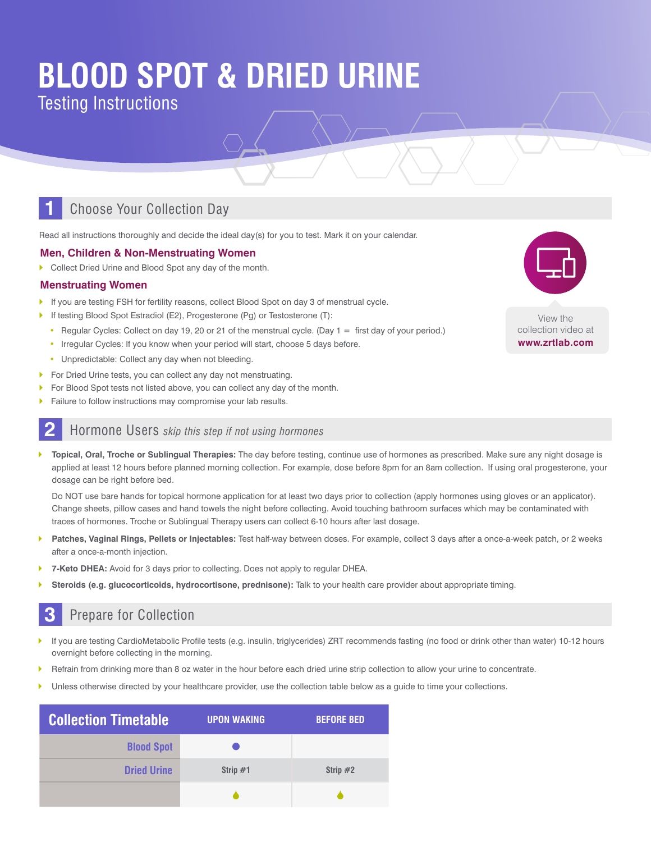# **BLOOD SPOT & DRIED URINE**

Testing Instructions

### **1** Choose Your Collection Day

Read all instructions thoroughly and decide the ideal day(s) for you to test. Mark it on your calendar.

#### **Men, Children & Non-Menstruating Women**

**Collect Dried Urine and Blood Spot any day of the month.** 

#### **Menstruating Women**

- If you are testing FSH for fertility reasons, collect Blood Spot on day 3 of menstrual cycle.
- If testing Blood Spot Estradiol (E2), Progesterone (Pg) or Testosterone (T):
	- Regular Cycles: Collect on day 19, 20 or 21 of the menstrual cycle. (Day 1 = first day of your period.)
	- Irregular Cycles: If you know when your period will start, choose 5 days before.
	- Unpredictable: Collect any day when not bleeding.
- **For Dried Urine tests, you can collect any day not menstruating.**
- **For Blood Spot tests not listed above, you can collect any day of the month.**
- Failure to follow instructions may compromise your lab results.

#### **2** Hormone Users *skip this step if not using hormones*

` **Topical, Oral, Troche or Sublingual Therapies:** The day before testing, continue use of hormones as prescribed. Make sure any night dosage is applied at least 12 hours before planned morning collection. For example, dose before 8pm for an 8am collection. If using oral progesterone, your dosage can be right before bed.

Do NOT use bare hands for topical hormone application for at least two days prior to collection (apply hormones using gloves or an applicator). Change sheets, pillow cases and hand towels the night before collecting. Avoid touching bathroom surfaces which may be contaminated with traces of hormones. Troche or Sublingual Therapy users can collect 6-10 hours after last dosage.

- ` **Patches, Vaginal Rings, Pellets or Injectables:** Test half-way between doses. For example, collect 3 days after a once-a-week patch, or 2 weeks after a once-a-month injection.
- ` **7-Keto DHEA:** Avoid for 3 days prior to collecting. Does not apply to regular DHEA.
- Steroids (e.g. glucocorticoids, hydrocortisone, prednisone): Talk to your health care provider about appropriate timing.

### **3** Prepare for Collection

- ` If you are testing CardioMetabolic Profile tests (e.g. insulin, triglycerides) ZRT recommends fasting (no food or drink other than water) 10-12 hours overnight before collecting in the morning.
- ` Refrain from drinking more than 8 oz water in the hour before each dried urine strip collection to allow your urine to concentrate.
- Unless otherwise directed by your healthcare provider, use the collection table below as a guide to time your collections.

| <b>Collection Timetable</b> | <b>UPON WAKING</b> | <b>BEFORE BED</b> |
|-----------------------------|--------------------|-------------------|
| <b>Blood Spot</b>           |                    |                   |
| <b>Dried Urine</b>          | Strip $#1$         | Strip $#2$        |
|                             |                    |                   |



collection video at **www.zrtlab.com**